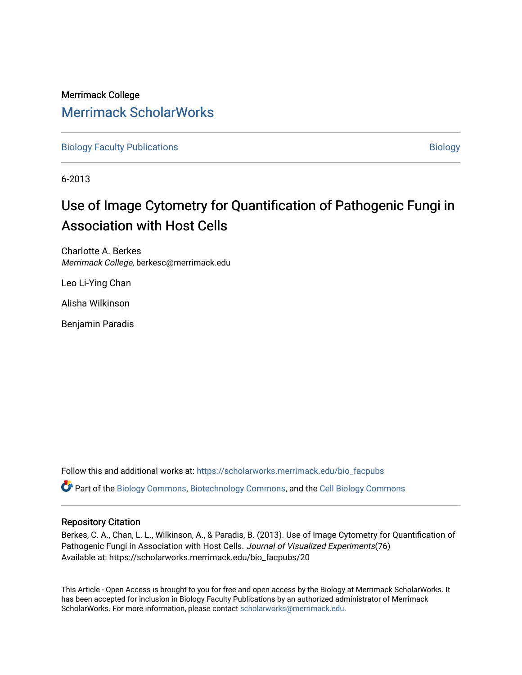## Merrimack College [Merrimack ScholarWorks](https://scholarworks.merrimack.edu/)

[Biology Faculty Publications](https://scholarworks.merrimack.edu/bio_facpubs) and the state of the state of the [Biology](https://scholarworks.merrimack.edu/bio) Biology

6-2013

# Use of Image Cytometry for Quantification of Pathogenic Fungi in Association with Host Cells

Charlotte A. Berkes Merrimack College, berkesc@merrimack.edu

Leo Li-Ying Chan

Alisha Wilkinson

Benjamin Paradis

Follow this and additional works at: [https://scholarworks.merrimack.edu/bio\\_facpubs](https://scholarworks.merrimack.edu/bio_facpubs?utm_source=scholarworks.merrimack.edu%2Fbio_facpubs%2F20&utm_medium=PDF&utm_campaign=PDFCoverPages)  Part of the [Biology Commons,](http://network.bepress.com/hgg/discipline/41?utm_source=scholarworks.merrimack.edu%2Fbio_facpubs%2F20&utm_medium=PDF&utm_campaign=PDFCoverPages) [Biotechnology Commons](http://network.bepress.com/hgg/discipline/111?utm_source=scholarworks.merrimack.edu%2Fbio_facpubs%2F20&utm_medium=PDF&utm_campaign=PDFCoverPages), and the [Cell Biology Commons](http://network.bepress.com/hgg/discipline/10?utm_source=scholarworks.merrimack.edu%2Fbio_facpubs%2F20&utm_medium=PDF&utm_campaign=PDFCoverPages) 

#### Repository Citation

Berkes, C. A., Chan, L. L., Wilkinson, A., & Paradis, B. (2013). Use of Image Cytometry for Quantification of Pathogenic Fungi in Association with Host Cells. Journal of Visualized Experiments(76) Available at: https://scholarworks.merrimack.edu/bio\_facpubs/20

This Article - Open Access is brought to you for free and open access by the Biology at Merrimack ScholarWorks. It has been accepted for inclusion in Biology Faculty Publications by an authorized administrator of Merrimack ScholarWorks. For more information, please contact [scholarworks@merrimack.edu.](mailto:scholarworks@merrimack.edu)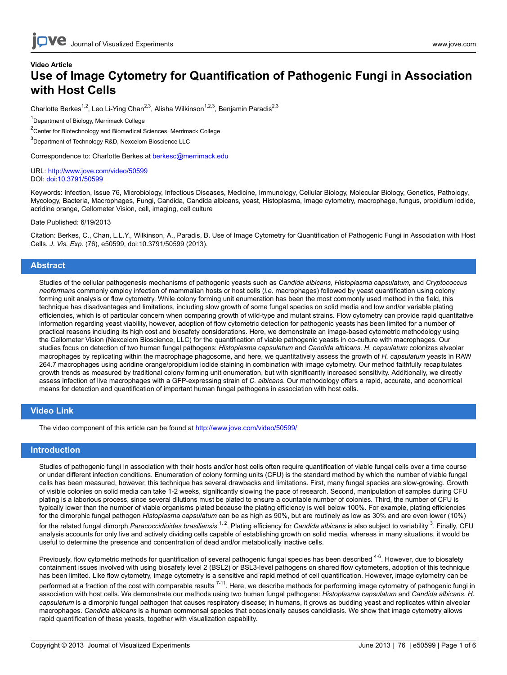## **Video Article Use of Image Cytometry for Quantification of Pathogenic Fungi in Association with Host Cells**

Charlotte Berkes<sup>1,2</sup>, Leo Li-Ying Chan<sup>2,3</sup>, Alisha Wilkinson<sup>1,2,3</sup>, Benjamin Paradis<sup>2,3</sup>

<sup>1</sup>Department of Biology, Merrimack College

<sup>2</sup>Center for Biotechnology and Biomedical Sciences, Merrimack College

<sup>3</sup>Department of Technology R&D, Nexcelom Bioscience LLC

Correspondence to: Charlotte Berkes at [berkesc@merrimack.edu](mailto:berkesc@merrimack.edu)

URL:<http://www.jove.com/video/50599> DOI: [doi:10.3791/50599](http://dx.doi.org/10.3791/50599)

Keywords: Infection, Issue 76, Microbiology, Infectious Diseases, Medicine, Immunology, Cellular Biology, Molecular Biology, Genetics, Pathology, Mycology, Bacteria, Macrophages, Fungi, Candida, Candida albicans, yeast, Histoplasma, Image cytometry, macrophage, fungus, propidium iodide, acridine orange, Cellometer Vision, cell, imaging, cell culture

#### Date Published: 6/19/2013

Citation: Berkes, C., Chan, L.L.Y., Wilkinson, A., Paradis, B. Use of Image Cytometry for Quantification of Pathogenic Fungi in Association with Host Cells. *J. Vis. Exp.* (76), e50599, doi:10.3791/50599 (2013).

#### **Abstract**

Studies of the cellular pathogenesis mechanisms of pathogenic yeasts such as *Candida albicans*, *Histoplasma capsulatum*, and *Cryptococcus neoformans* commonly employ infection of mammalian hosts or host cells (*i.e.* macrophages) followed by yeast quantification using colony forming unit analysis or flow cytometry. While colony forming unit enumeration has been the most commonly used method in the field, this technique has disadvantages and limitations, including slow growth of some fungal species on solid media and low and/or variable plating efficiencies, which is of particular concern when comparing growth of wild-type and mutant strains. Flow cytometry can provide rapid quantitative information regarding yeast viability, however, adoption of flow cytometric detection for pathogenic yeasts has been limited for a number of practical reasons including its high cost and biosafety considerations. Here, we demonstrate an image-based cytometric methodology using the Cellometer Vision (Nexcelom Bioscience, LLC) for the quantification of viable pathogenic yeasts in co-culture with macrophages. Our studies focus on detection of two human fungal pathogens: *Histoplasma capsulatum* and *Candida albicans*. *H. capsulatum* colonizes alveolar macrophages by replicating within the macrophage phagosome, and here, we quantitatively assess the growth of *H. capsulatum* yeasts in RAW 264.7 macrophages using acridine orange/propidium iodide staining in combination with image cytometry. Our method faithfully recapitulates growth trends as measured by traditional colony forming unit enumeration, but with significantly increased sensitivity. Additionally, we directly assess infection of live macrophages with a GFP-expressing strain of *C. albicans*. Our methodology offers a rapid, accurate, and economical means for detection and quantification of important human fungal pathogens in association with host cells.

#### **Video Link**

The video component of this article can be found at <http://www.jove.com/video/50599/>

#### **Introduction**

Studies of pathogenic fungi in association with their hosts and/or host cells often require quantification of viable fungal cells over a time course or under different infection conditions. Enumeration of colony forming units (CFU) is the standard method by which the number of viable fungal cells has been measured, however, this technique has several drawbacks and limitations. First, many fungal species are slow-growing. Growth of visible colonies on solid media can take 1-2 weeks, significantly slowing the pace of research. Second, manipulation of samples during CFU plating is a laborious process, since several dilutions must be plated to ensure a countable number of colonies. Third, the number of CFU is typically lower than the number of viable organisms plated because the plating efficiency is well below 100%. For example, plating efficiencies for the dimorphic fungal pathogen *Histoplasma capsulatum* can be as high as 90%, but are routinely as low as 30% and are even lower (10%) for the related fungal dimorph *Paracoccidioides brasiliensis* <sup>1, 2</sup>. Plating efficiency for *Candida albicans* is also subject to variability <sup>3</sup>. Finally, CFU analysis accounts for only live and actively dividing cells capable of establishing growth on solid media, whereas in many situations, it would be useful to determine the presence and concentration of dead and/or metabolically inactive cells.

Previously, flow cytometric methods for quantification of several pathogenic fungal species has been described <sup>4-6</sup>. However, due to biosafety containment issues involved with using biosafety level 2 (BSL2) or BSL3-level pathogens on shared flow cytometers, adoption of this technique has been limited. Like flow cytometry, image cytometry is a sensitive and rapid method of cell quantification. However, image cytometry can be performed at a fraction of the cost with comparable results<sup>7-11</sup>. Here, we describe methods for performing image cytometry of pathogenic fungi in association with host cells. We demonstrate our methods using two human fungal pathogens: *Histoplasma capsulatum* and *Candida albicans*. *H. capsulatum* is a dimorphic fungal pathogen that causes respiratory disease; in humans, it grows as budding yeast and replicates within alveolar macrophages. *Candida albicans* is a human commensal species that occasionally causes candidiasis. We show that image cytometry allows rapid quantification of these yeasts, together with visualization capability.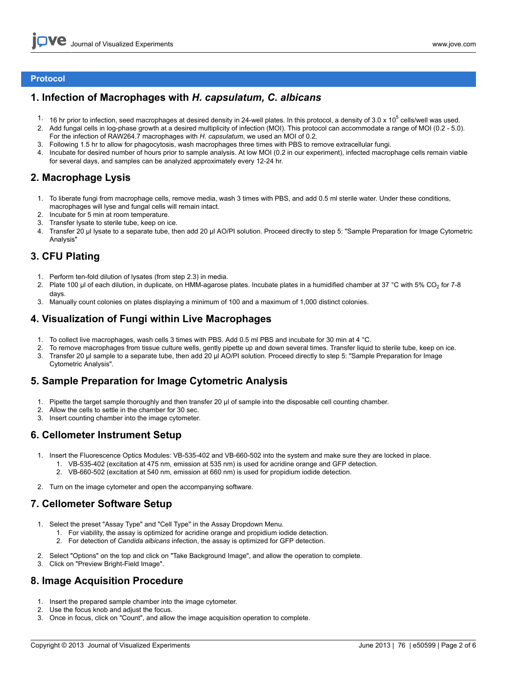#### **Protocol**

## **1. Infection of Macrophages with** *H. capsulatum, C. albicans*

- 1. 16 hr prior to infection, seed macrophages at desired density in 24-well plates. In this protocol, a density of 3.0 x 10<sup>5</sup> cells/well was used.
- 2. Add fungal cells in log-phase growth at a desired multiplicity of infection (MOI). This protocol can accommodate a range of MOI (0.2 5.0). For the infection of RAW264.7 macrophages with *H. capsulatum*, we used an MOI of 0.2.
- 3. Following 1.5 hr to allow for phagocytosis, wash macrophages three times with PBS to remove extracellular fungi.
- 4. Incubate for desired number of hours prior to sample analysis. At low MOI (0.2 in our experiment), infected macrophage cells remain viable for several days, and samples can be analyzed approximately every 12-24 hr.

## **2. Macrophage Lysis**

- 1. To liberate fungi from macrophage cells, remove media, wash 3 times with PBS, and add 0.5 ml sterile water. Under these conditions, macrophages will lyse and fungal cells will remain intact.
- 2. Incubate for 5 min at room temperature.
- 3. Transfer lysate to sterile tube, keep on ice.
- 4. Transfer 20 μl lysate to a separate tube, then add 20 μl AO/PI solution. Proceed directly to step 5: "Sample Preparation for Image Cytometric Analysis"

## **3. CFU Plating**

- 1. Perform ten-fold dilution of lysates (from step 2.3) in media.
- 2. Plate 100 µl of each dilution, in duplicate, on HMM-agarose plates. Incubate plates in a humidified chamber at 37 °C with 5% CO<sub>2</sub> for 7-8 days.
- 3. Manually count colonies on plates displaying a minimum of 100 and a maximum of 1,000 distinct colonies.

## **4. Visualization of Fungi within Live Macrophages**

- 1. To collect live macrophages, wash cells 3 times with PBS. Add 0.5 ml PBS and incubate for 30 min at 4 °C.
- 2. To remove macrophages from tissue culture wells, gently pipette up and down several times. Transfer liquid to sterile tube, keep on ice.
- 3. Transfer 20 μl sample to a separate tube, then add 20 μl AO/PI solution. Proceed directly to step 5: "Sample Preparation for Image Cytometric Analysis".

## **5. Sample Preparation for Image Cytometric Analysis**

- 1. Pipette the target sample thoroughly and then transfer 20 μl of sample into the disposable cell counting chamber.
- 2. Allow the cells to settle in the chamber for 30 sec.
- 3. Insert counting chamber into the image cytometer.

### **6. Cellometer Instrument Setup**

- 1. Insert the Fluorescence Optics Modules: VB-535-402 and VB-660-502 into the system and make sure they are locked in place.
	- 1. VB-535-402 (excitation at 475 nm, emission at 535 nm) is used for acridine orange and GFP detection.
	- 2. VB-660-502 (excitation at 540 nm, emission at 660 nm) is used for propidium iodide detection.
- 2. Turn on the image cytometer and open the accompanying software.

## **7. Cellometer Software Setup**

- 1. Select the preset "Assay Type" and "Cell Type" in the Assay Dropdown Menu.
	- 1. For viability, the assay is optimized for acridine orange and propidium iodide detection.
	- 2. For detection of *Candida albicans* infection, the assay is optimized for GFP detection.
- 2. Select "Options" on the top and click on "Take Background Image", and allow the operation to complete.
- 3. Click on "Preview Bright-Field Image".

### **8. Image Acquisition Procedure**

- 1. Insert the prepared sample chamber into the image cytometer.
- 2. Use the focus knob and adjust the focus.
- 3. Once in focus, click on "Count", and allow the image acquisition operation to complete.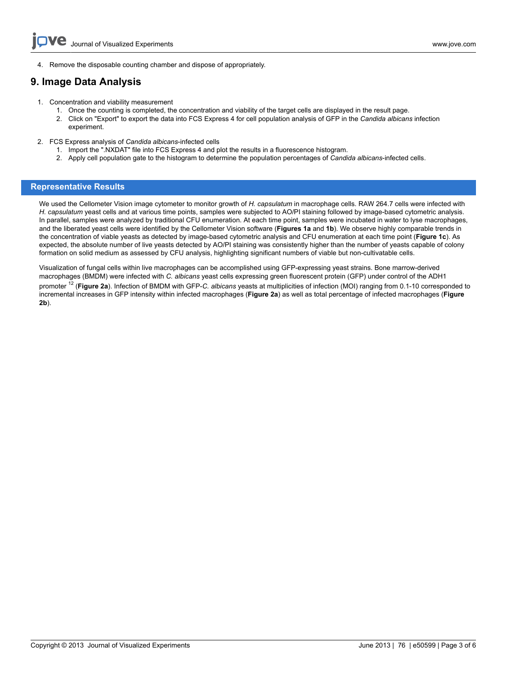4. Remove the disposable counting chamber and dispose of appropriately.

## **9. Image Data Analysis**

- 1. Concentration and viability measurement
	- 1. Once the counting is completed, the concentration and viability of the target cells are displayed in the result page.
	- 2. Click on "Export" to export the data into FCS Express 4 for cell population analysis of GFP in the *Candida albicans* infection experiment.
- 2. FCS Express analysis of *Candida albicans*-infected cells
	- 1. Import the ".NXDAT" file into FCS Express 4 and plot the results in a fluorescence histogram.
	- 2. Apply cell population gate to the histogram to determine the population percentages of *Candida albicans*-infected cells.

#### **Representative Results**

We used the Cellometer Vision image cytometer to monitor growth of *H. capsulatum* in macrophage cells. RAW 264.7 cells were infected with *H. capsulatum* yeast cells and at various time points, samples were subjected to AO/PI staining followed by image-based cytometric analysis. In parallel, samples were analyzed by traditional CFU enumeration. At each time point, samples were incubated in water to lyse macrophages, and the liberated yeast cells were identified by the Cellometer Vision software (**Figures 1a** and **1b**). We observe highly comparable trends in the concentration of viable yeasts as detected by image-based cytometric analysis and CFU enumeration at each time point (**Figure 1c**). As expected, the absolute number of live yeasts detected by AO/PI staining was consistently higher than the number of yeasts capable of colony formation on solid medium as assessed by CFU analysis, highlighting significant numbers of viable but non-cultivatable cells.

Visualization of fungal cells within live macrophages can be accomplished using GFP-expressing yeast strains. Bone marrow-derived macrophages (BMDM) were infected with *C. albicans* yeast cells expressing green fluorescent protein (GFP) under control of the ADH1 promoter 12 (**Figure 2a**). Infection of BMDM with GFP-*C. albicans* yeasts at multiplicities of infection (MOI) ranging from 0.1-10 corresponded to incremental increases in GFP intensity within infected macrophages (**Figure 2a**) as well as total percentage of infected macrophages (**Figure 2b**).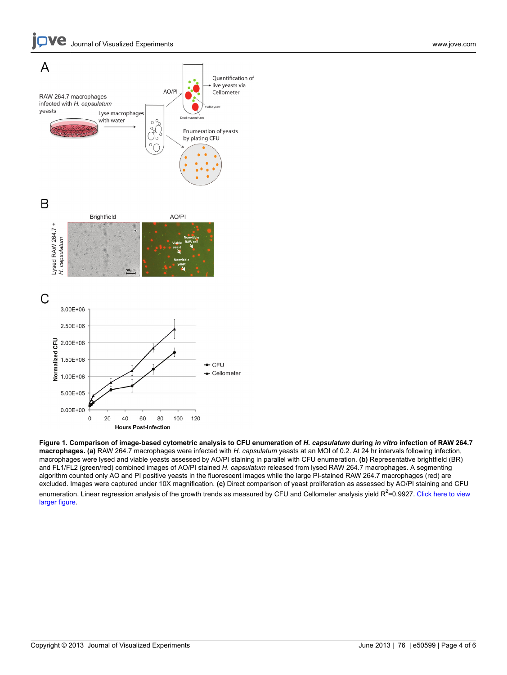

**Figure 1. Comparison of image-based cytometric analysis to CFU enumeration of** *H. capsulatum* **during** *in vitro* **infection of RAW 264.7 macrophages. (a)** RAW 264.7 macrophages were infected with *H. capsulatum* yeasts at an MOI of 0.2. At 24 hr intervals following infection, macrophages were lysed and viable yeasts assessed by AO/PI staining in parallel with CFU enumeration. **(b)** Representative brightfield (BR) and FL1/FL2 (green/red) combined images of AO/PI stained *H. capsulatum* released from lysed RAW 264.7 macrophages. A segmenting algorithm counted only AO and PI positive yeasts in the fluorescent images while the large PI-stained RAW 264.7 macrophages (red) are excluded. Images were captured under 10X magnification. **(c)** Direct comparison of yeast proliferation as assessed by AO/PI staining and CFU enumeration. Linear regression analysis of the growth trends as measured by CFU and Cellometer analysis yield R<sup>2</sup>=0.9927. [Click here to view](http://www.jove.com/files/ftp_upload/50599/50599fig1large.jpg) [larger figure.](http://www.jove.com/files/ftp_upload/50599/50599fig1large.jpg)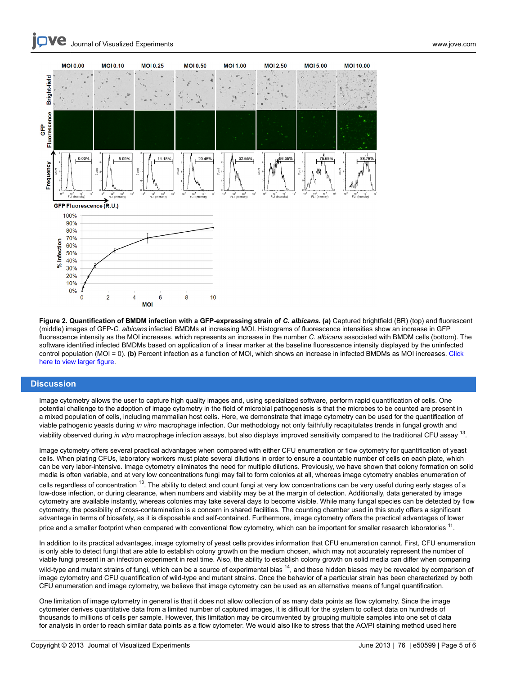

**Figure 2. Quantification of BMDM infection with a GFP-expressing strain of** *C. albicans***. (a)** Captured brightfield (BR) (top) and fluorescent (middle) images of GFP-*C. albicans* infected BMDMs at increasing MOI. Histograms of fluorescence intensities show an increase in GFP fluorescence intensity as the MOI increases, which represents an increase in the number *C. albicans* associated with BMDM cells (bottom). The software identified infected BMDMs based on application of a linear marker at the baseline fluorescence intensity displayed by the uninfected control population (MOI = 0). **(b)** Percent infection as a function of MOI, which shows an increase in infected BMDMs as MOI increases. [Click](http://www.jove.com/files/ftp_upload/50599/50599fig2large.jpg) [here to view larger figure.](http://www.jove.com/files/ftp_upload/50599/50599fig2large.jpg)

#### **Discussion**

Image cytometry allows the user to capture high quality images and, using specialized software, perform rapid quantification of cells. One potential challenge to the adoption of image cytometry in the field of microbial pathogenesis is that the microbes to be counted are present in a mixed population of cells, including mammalian host cells. Here, we demonstrate that image cytometry can be used for the quantification of viable pathogenic yeasts during *in vitro* macrophage infection. Our methodology not only faithfully recapitulates trends in fungal growth and viability observed during *in vitro* macrophage infection assays, but also displays improved sensitivity compared to the traditional CFU assay <sup>13</sup> .

Image cytometry offers several practical advantages when compared with either CFU enumeration or flow cytometry for quantification of yeast cells. When plating CFUs, laboratory workers must plate several dilutions in order to ensure a countable number of cells on each plate, which can be very labor-intensive. Image cytometry eliminates the need for multiple dilutions. Previously, we have shown that colony formation on solid media is often variable, and at very low concentrations fungi may fail to form colonies at all, whereas image cytometry enables enumeration of cells regardless of concentration <sup>13</sup>. The ability to detect and count fungi at very low concentrations can be very useful during early stages of a low-dose infection, or during clearance, when numbers and viability may be at the margin of detection. Additionally, data generated by image cytometry are available instantly, whereas colonies may take several days to become visible. While many fungal species can be detected by flow cytometry, the possibility of cross-contamination is a concern in shared facilities. The counting chamber used in this study offers a significant advantage in terms of biosafety, as it is disposable and self-contained. Furthermore, image cytometry offers the practical advantages of lower price and a smaller footprint when compared with conventional flow cytometry, which can be important for smaller research laboratories <sup>11</sup>.

In addition to its practical advantages, image cytometry of yeast cells provides information that CFU enumeration cannot. First, CFU enumeration is only able to detect fungi that are able to establish colony growth on the medium chosen, which may not accurately represent the number of viable fungi present in an infection experiment in real time. Also, the ability to establish colony growth on solid media can differ when comparing wild-type and mutant strains of fungi, which can be a source of experimental bias <sup>14</sup>, and these hidden biases may be revealed by comparison of image cytometry and CFU quantification of wild-type and mutant strains. Once the behavior of a particular strain has been characterized by both CFU enumeration and image cytometry, we believe that image cytometry can be used as an alternative means of fungal quantification.

One limitation of image cytometry in general is that it does not allow collection of as many data points as flow cytometry. Since the image cytometer derives quantitative data from a limited number of captured images, it is difficult for the system to collect data on hundreds of thousands to millions of cells per sample. However, this limitation may be circumvented by grouping multiple samples into one set of data for analysis in order to reach similar data points as a flow cytometer. We would also like to stress that the AO/PI staining method used here